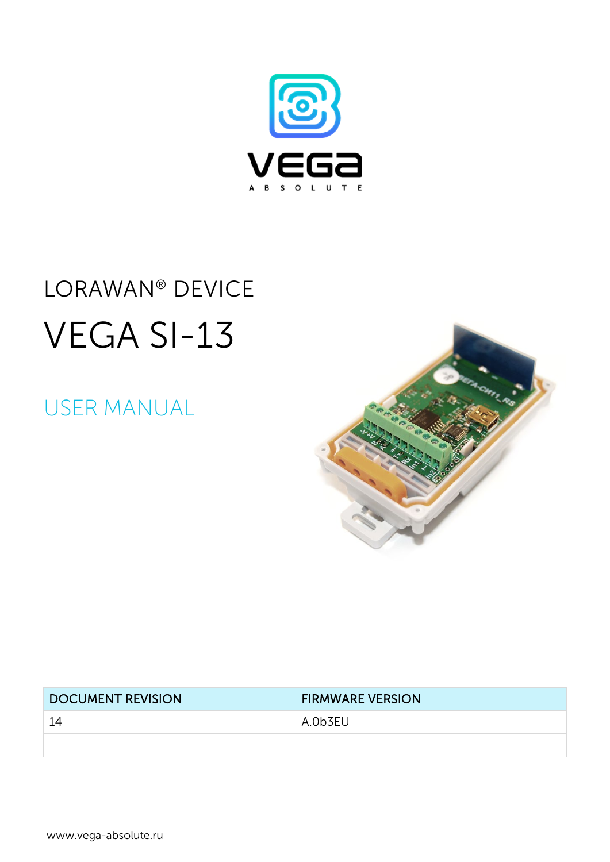

# LORAWAN<sup>®</sup> DEVICE VEGA SI-13

## **USER MANUAL**



| <b>DOCUMENT REVISION</b> | <b>FIRMWARE VERSION</b> |  |
|--------------------------|-------------------------|--|
| 14                       | A.0b3EU                 |  |
|                          |                         |  |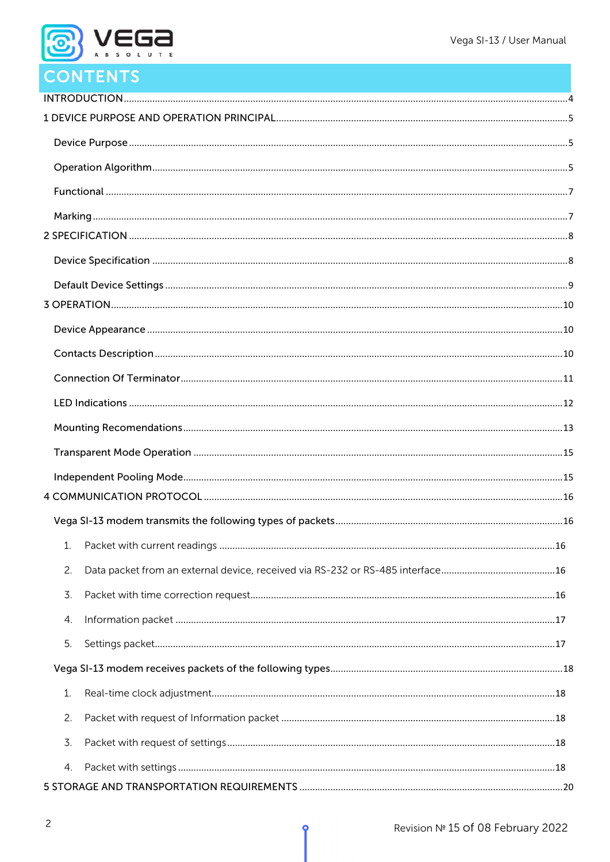

## **CONTENTS**

| 1.             |  |
|----------------|--|
| 2.             |  |
| 3.             |  |
| 4.             |  |
| 5.             |  |
|                |  |
| $\mathbf{1}$ . |  |
| 2.             |  |
| 3.             |  |
| 4.             |  |
|                |  |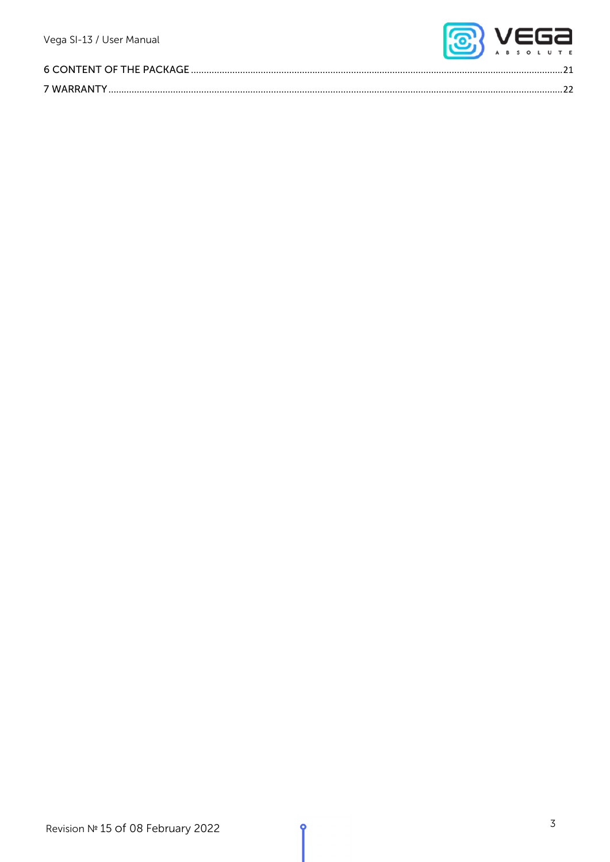

| 6 CONTENT OF THE PACKAGE |  |
|--------------------------|--|
|                          |  |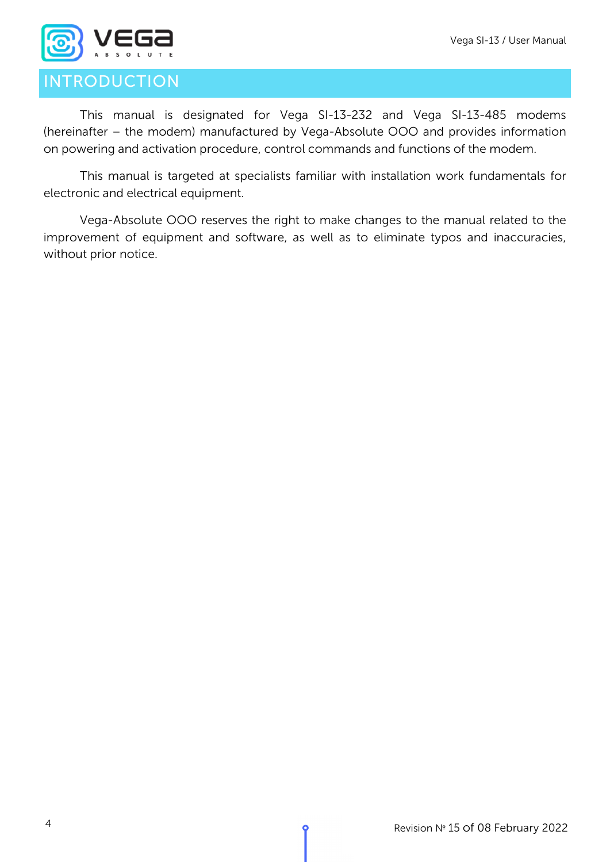

## <span id="page-3-0"></span>INTRODUCTION

This manual is designated for Vega SI-13-232 and Vega SI-13-485 modems (hereinafter – the modem) manufactured by Vega-Absolute OOO and provides information on powering and activation procedure, control commands and functions of the modem.

This manual is targeted at specialists familiar with installation work fundamentals for electronic and electrical equipment.

Vega-Absolute OOO reserves the right to make changes to the manual related to the improvement of equipment and software, as well as to eliminate typos and inaccuracies, without prior notice.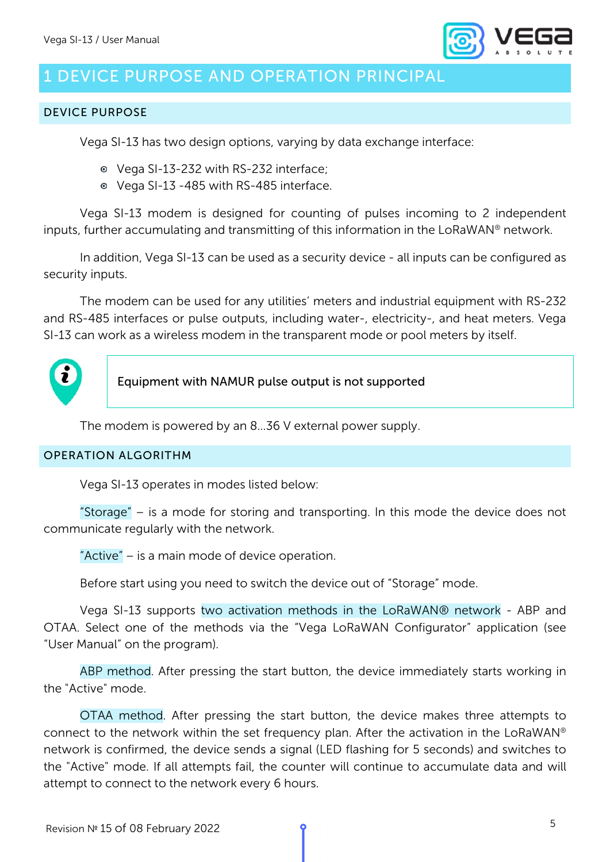

## <span id="page-4-0"></span>1 DEVICE PURPOSE AND OPERATION PRINCIPAL

#### <span id="page-4-1"></span>DEVICE PURPOSE

Vega SI-13 has two design options, varying by data exchange interface:

- Vega SI-13-232 with RS-232 interface;
- Vega SI-13 -485 with RS-485 interface.

Vega SI-13 modem is designed for counting of pulses incoming to 2 independent inputs, further accumulating and transmitting of this information in the LoRaWAN® network.

In addition, Vega SI-13 can be used as a security device - all inputs can be configured as security inputs.

The modem can be used for any utilities' meters and industrial equipment with RS-232 and RS-485 interfaces or pulse outputs, including water-, electricity-, and heat meters. Vega SI-13 can work as a wireless modem in the transparent mode or pool meters by itself.



Equipment with NAMUR pulse output is not supported

The modem is powered by an 8…36 V external power supply.

#### <span id="page-4-2"></span>OPERATION ALGORITHM

Vega SI-13 operates in modes listed below:

"Storage" – is a mode for storing and transporting. In this mode the device does not communicate regularly with the network.

"Active" – is a main mode of device operation.

Before start using you need to switch the device out of "Storage" mode.

Vega SI-13 supports two activation methods in the LoRaWAN® network - ABP and OTAA. Select one of the methods via the "Vega LoRaWAN Configurator" application (see "User Manual" on the program).

ABP method. After pressing the start button, the device immediately starts working in the "Active" mode.

OTAA method. After pressing the start button, the device makes three attempts to connect to the network within the set frequency plan. After the activation in the LoRaWAN® network is confirmed, the device sends a signal (LED flashing for 5 seconds) and switches to the "Active" mode. If all attempts fail, the counter will continue to accumulate data and will attempt to connect to the network every 6 hours.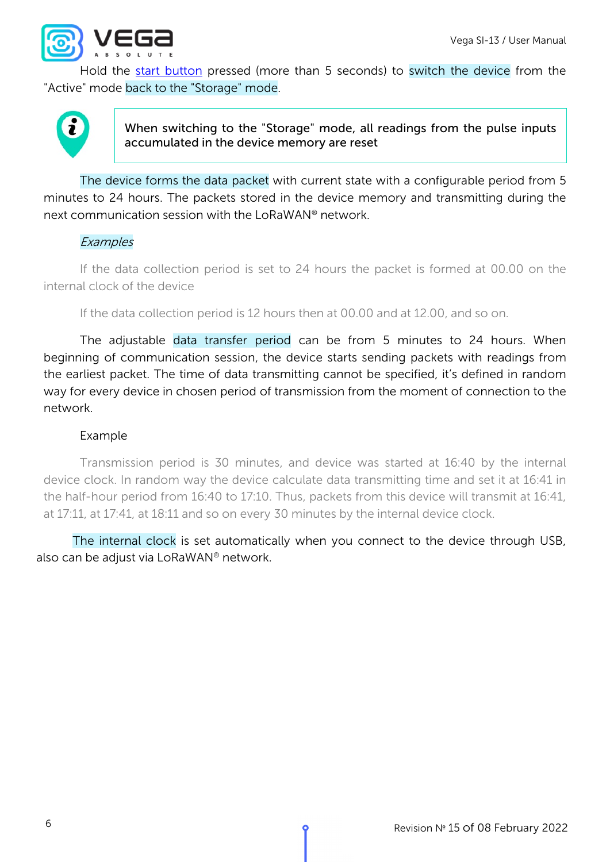

Hold the [start button](#page-9-1) pressed (more than 5 seconds) to switch the device from the "Active" mode back to the "Storage" mode.



When switching to the "Storage" mode, all readings from the pulse inputs accumulated in the device memory are reset

The device forms the data packet with current state with a configurable period from 5 minutes to 24 hours. The packets stored in the device memory and transmitting during the next communication session with the LoRaWAN® network.

#### **Examples**

If the data collection period is set to 24 hours the packet is formed at 00.00 on the internal clock of the device

If the data collection period is 12 hours then at 00.00 and at 12.00, and so on.

The adjustable data transfer period can be from 5 minutes to 24 hours. When beginning of communication session, the device starts sending packets with readings from the earliest packet. The time of data transmitting cannot be specified, it's defined in random way for every device in chosen period of transmission from the moment of connection to the network.

#### Example

Transmission period is 30 minutes, and device was started at 16:40 by the internal device clock. In random way the device calculate data transmitting time and set it at 16:41 in the half-hour period from 16:40 to 17:10. Thus, packets from this device will transmit at 16:41, at 17:11, at 17:41, at 18:11 and so on every 30 minutes by the internal device clock.

The internal clock is set automatically when you connect to the device through USB, also can be adjust via LoRaWAN® network.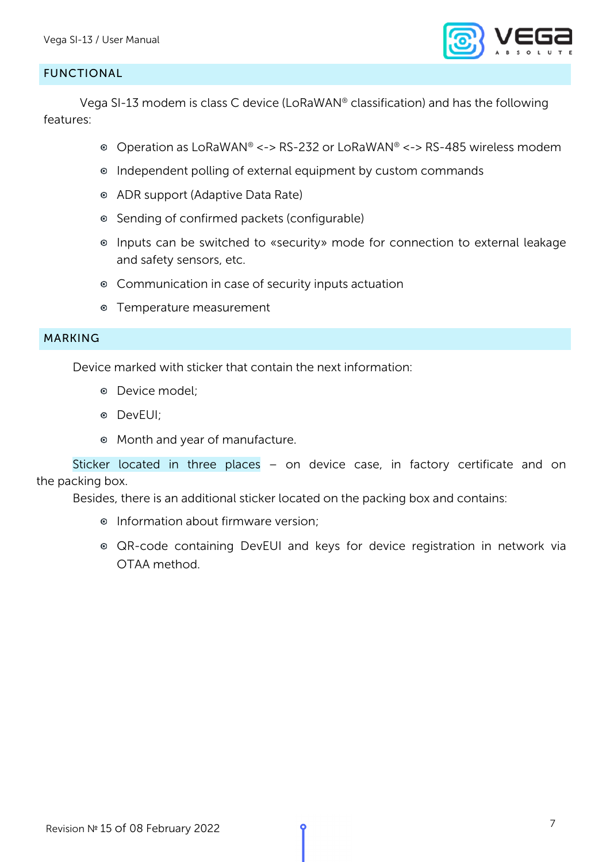

#### <span id="page-6-0"></span>FUNCTIONAL

Vega SI-13 modem is class C device (LoRaWAN® classification) and has the following features:

- Operation as LoRaWAN® <-> RS-232 or LoRaWAN® <-> RS-485 wireless modem
- Independent polling of external equipment by custom commands
- ADR support (Adaptive Data Rate)
- Sending of confirmed packets (configurable)
- Inputs can be switched to «security» mode for connection to external leakage and safety sensors, etc.
- Communication in case of security inputs actuation
- Temperature measurement

#### <span id="page-6-1"></span>MARKING

Device marked with sticker that contain the next information:

- Device model;
- DevEUI;
- Month and year of manufacture.

Sticker located in three places – on device case, in factory certificate and on the packing box.

Besides, there is an additional sticker located on the packing box and contains:

- **•** Information about firmware version;
- QR-code containing DevEUI and keys for device registration in network via OTAA method.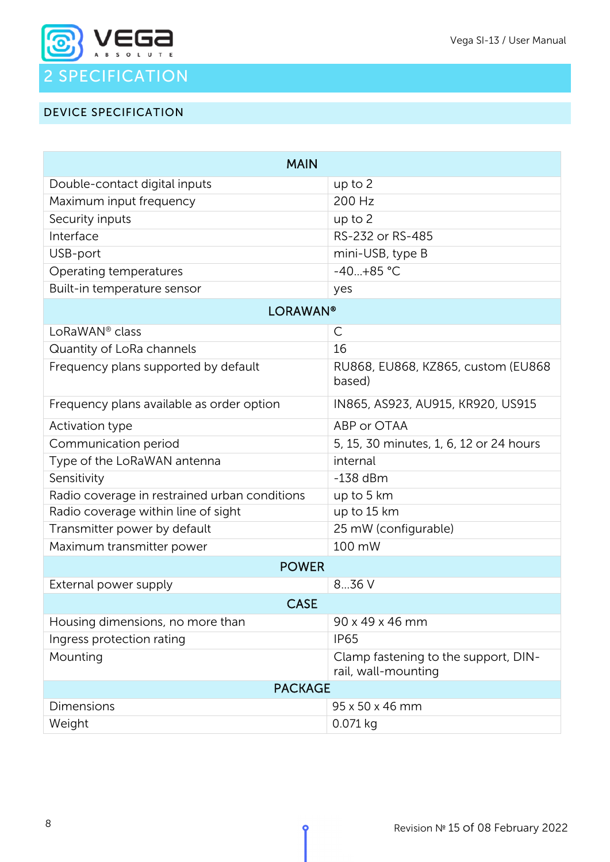

#### <span id="page-7-1"></span><span id="page-7-0"></span>DEVICE SPECIFICATION

| <b>MAIN</b>                                   |                                                             |  |  |  |
|-----------------------------------------------|-------------------------------------------------------------|--|--|--|
| Double-contact digital inputs                 | up to 2                                                     |  |  |  |
| Maximum input frequency                       | 200 Hz                                                      |  |  |  |
| Security inputs                               | $up$ to $2$                                                 |  |  |  |
| Interface                                     | RS-232 or RS-485                                            |  |  |  |
| USB-port                                      | mini-USB, type B                                            |  |  |  |
| Operating temperatures                        | $-40+85$ °C                                                 |  |  |  |
| Built-in temperature sensor                   | yes                                                         |  |  |  |
| <b>LORAWAN®</b>                               |                                                             |  |  |  |
| LoRaWAN <sup>®</sup> class                    | С                                                           |  |  |  |
| Quantity of LoRa channels                     | 16                                                          |  |  |  |
| Frequency plans supported by default          | RU868, EU868, KZ865, custom (EU868<br>based)                |  |  |  |
| Frequency plans available as order option     | IN865, AS923, AU915, KR920, US915                           |  |  |  |
| Activation type                               | ABP or OTAA                                                 |  |  |  |
| Communication period                          | 5, 15, 30 minutes, 1, 6, 12 or 24 hours                     |  |  |  |
| Type of the LoRaWAN antenna                   | internal                                                    |  |  |  |
| Sensitivity                                   | $-138$ dBm                                                  |  |  |  |
| Radio coverage in restrained urban conditions | up to 5 km                                                  |  |  |  |
| Radio coverage within line of sight           | up to 15 km                                                 |  |  |  |
| Transmitter power by default                  | 25 mW (configurable)                                        |  |  |  |
| Maximum transmitter power                     | 100 mW                                                      |  |  |  |
| <b>POWER</b>                                  |                                                             |  |  |  |
| External power supply                         | 836 V                                                       |  |  |  |
| <b>CASE</b>                                   |                                                             |  |  |  |
| Housing dimensions, no more than              | 90 x 49 x 46 mm                                             |  |  |  |
| Ingress protection rating                     | <b>IP65</b>                                                 |  |  |  |
| Mounting                                      | Clamp fastening to the support, DIN-<br>rail, wall-mounting |  |  |  |
| <b>PACKAGE</b>                                |                                                             |  |  |  |
| Dimensions                                    | 95 x 50 x 46 mm                                             |  |  |  |
| Weight                                        | 0.071 kg                                                    |  |  |  |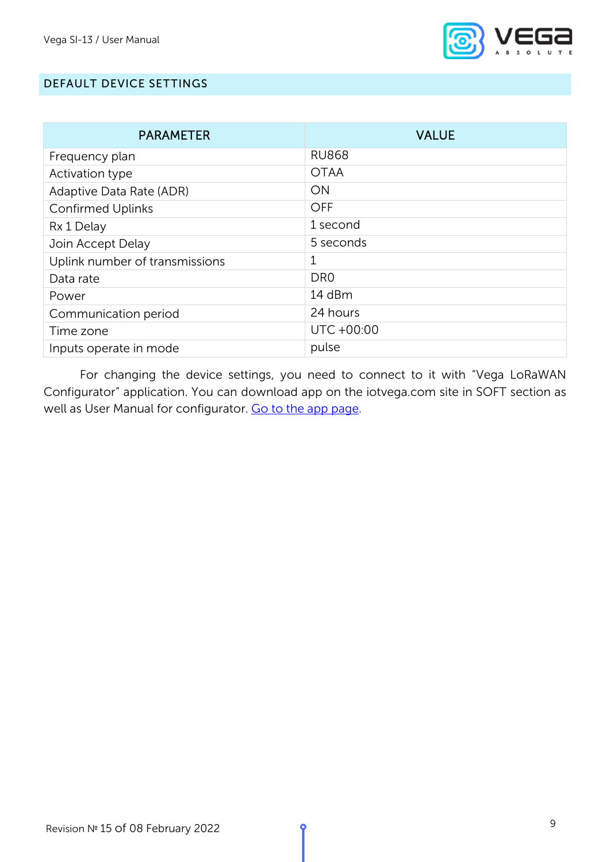

#### <span id="page-8-0"></span>DEFAULT DEVICE SETTINGS

| <b>PARAMETER</b>               | <b>VALUE</b>    |
|--------------------------------|-----------------|
| Frequency plan                 | <b>RU868</b>    |
| Activation type                | <b>OTAA</b>     |
| Adaptive Data Rate (ADR)       | ON              |
| <b>Confirmed Uplinks</b>       | <b>OFF</b>      |
| Rx 1 Delay                     | 1 second        |
| Join Accept Delay              | 5 seconds       |
| Uplink number of transmissions | 1               |
| Data rate                      | DR <sub>0</sub> |
| Power                          | 14 dBm          |
| Communication period           | 24 hours        |
| Time zone                      | UTC +00:00      |
| Inputs operate in mode         | pulse           |

For changing the device settings, you need to connect to it with "Vega LoRaWAN Configurator" application. You can download app on the iotvega.com site in SOFT section as well as User Manual for configurator. [Go to the app page.](https://iotvega.com/soft/config)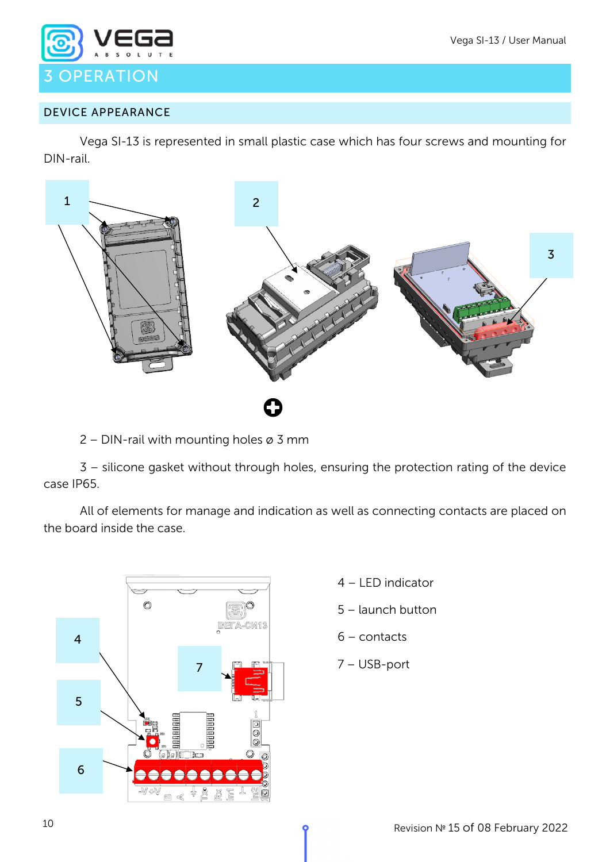

#### <span id="page-9-1"></span><span id="page-9-0"></span>DEVICE APPEARANCE

Vega SI-13 is represented in small plastic case which has four screws and mounting for DIN-rail.



2 – DIN-rail with mounting holes ø 3 mm

3 – silicone gasket without through holes, ensuring the protection rating of the device case IP65.

All of elements for manage and indication as well as connecting contacts are placed on the board inside the case.



- 4 LED indicator
- 5 launch button
- 6 contacts
- 7 USB-port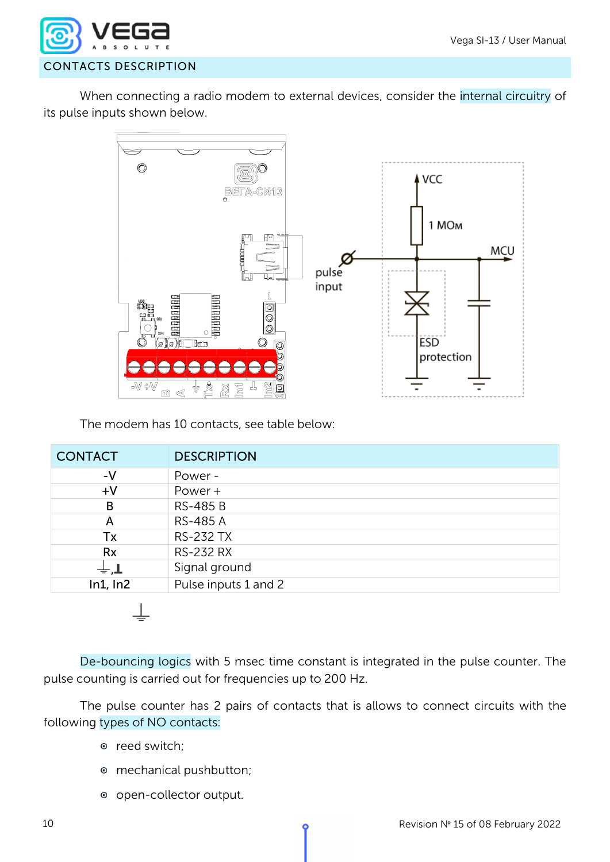

<span id="page-11-0"></span>When connecting a radio modem to external devices, consider the internal circuitry of its pulse inputs shown below.



The modem has 10 contacts, see table below:

| <b>CONTACT</b>  | <b>DESCRIPTION</b>   |
|-----------------|----------------------|
| $-V$            | Power -              |
| $+V$            | Power +              |
| B               | <b>RS-485 B</b>      |
| A               | <b>RS-485 A</b>      |
| Tx              | <b>RS-232 TX</b>     |
| <b>Rx</b>       | <b>RS-232 RX</b>     |
| $\pm$ , $\perp$ | Signal ground        |
| ln1, ln2        | Pulse inputs 1 and 2 |

De-bouncing logics with 5 msec time constant is integrated in the pulse counter. The pulse counting is carried out for frequencies up to 200 Hz.

The pulse counter has 2 pairs of contacts that is allows to connect circuits with the following types of NO contacts:

- o reed switch;
- mechanical pushbutton;
- open-collector output.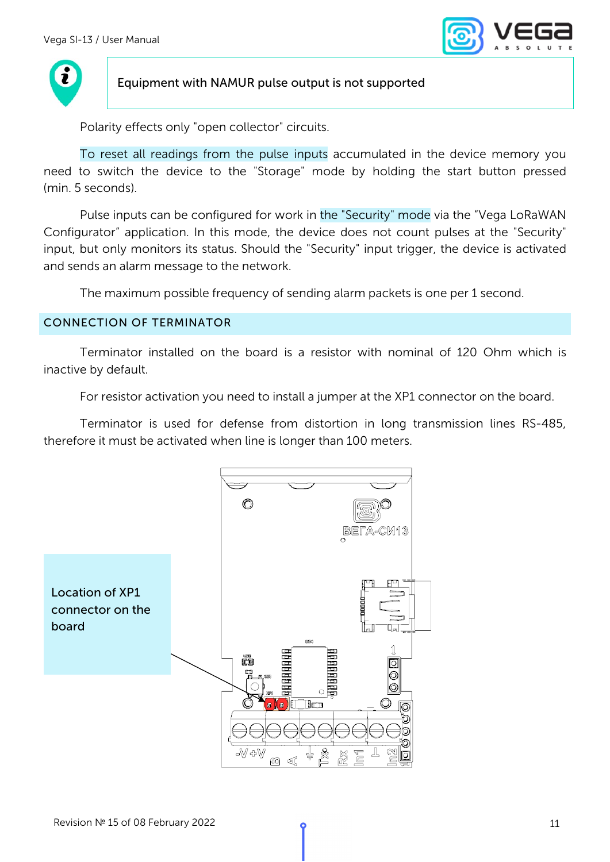



#### Equipment with NAMUR pulse output is not supported

Polarity effects only "open collector" circuits.

To reset all readings from the pulse inputs accumulated in the device memory you need to switch the device to the "Storage" mode by holding the start button pressed (min. 5 seconds).

Pulse inputs can be configured for work in the "Security" mode via the "Vega LoRaWAN Configurator" application. In this mode, the device does not count pulses at the "Security" input, but only monitors its status. Should the "Security" input trigger, the device is activated and sends an alarm message to the network.

The maximum possible frequency of sending alarm packets is one per 1 second.

#### <span id="page-12-0"></span>CONNECTION OF TERMINATOR

Terminator installed on the board is a resistor with nominal of 120 Ohm which is inactive by default.

For resistor activation you need to install a jumper at the XP1 connector on the board.

Terminator is used for defense from distortion in long transmission lines RS-485, therefore it must be activated when line is longer than 100 meters.

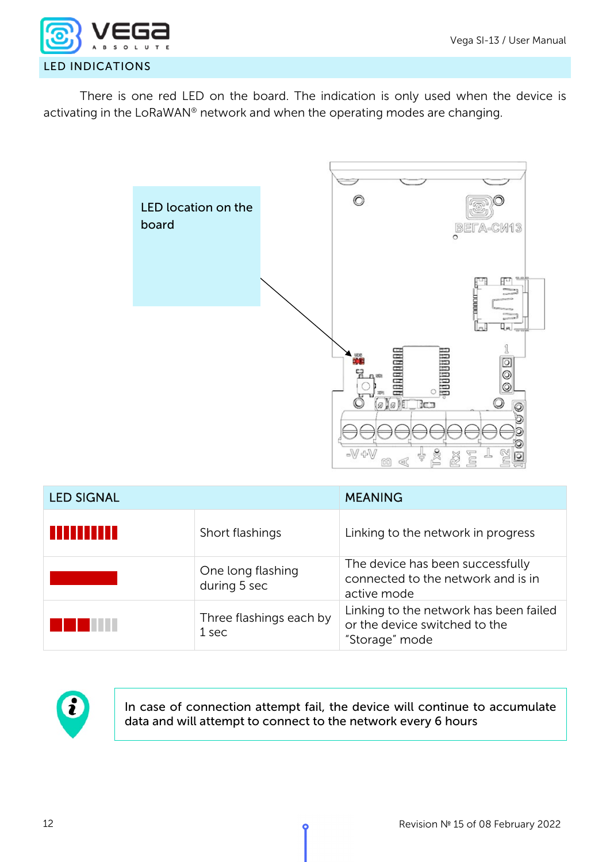

<span id="page-13-0"></span>There is one red LED on the board. The indication is only used when the device is activating in the LoRaWAN® network and when the operating modes are changing.



| <b>LED SIGNAL</b> |                                   | <b>MEANING</b>                                                                            |  |
|-------------------|-----------------------------------|-------------------------------------------------------------------------------------------|--|
| s que se se se s  | Short flashings                   | Linking to the network in progress                                                        |  |
|                   | One long flashing<br>during 5 sec | The device has been successfully<br>connected to the network and is in<br>active mode     |  |
|                   | Three flashings each by<br>1 sec  | Linking to the network has been failed<br>or the device switched to the<br>"Storage" mode |  |



In case of connection attempt fail, the device will continue to accumulate data and will attempt to connect to the network every 6 hours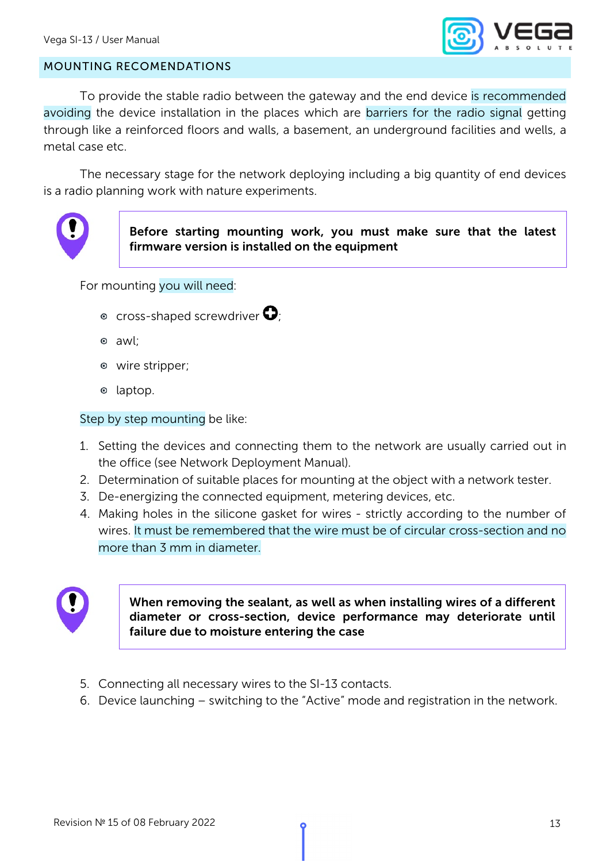

#### <span id="page-14-0"></span>MOUNTING RECOMENDATIONS

To provide the stable radio between the gateway and the end device is recommended avoiding the device installation in the places which are barriers for the radio signal getting through like a reinforced floors and walls, a basement, an underground facilities and wells, a metal case etc.

The necessary stage for the network deploying including a big quantity of end devices is a radio planning work with nature experiments.



Before starting mounting work, you must make sure that the latest firmware version is installed on the equipment

For mounting you will need:

- $\bullet$  cross-shaped screwdriver  $\mathbf{O}_i$
- awl;
- wire stripper;
- $\circ$  laptop.

Step by step mounting be like:

- 1. Setting the devices and connecting them to the network are usually carried out in the office (see Network Deployment Manual).
- 2. Determination of suitable places for mounting at the object with a network tester.
- 3. De-energizing the connected equipment, metering devices, etc.
- 4. Making holes in the silicone gasket for wires strictly according to the number of wires. It must be remembered that the wire must be of circular cross-section and no more than 3 mm in diameter.



When removing the sealant, as well as when installing wires of a different diameter or cross-section, device performance may deteriorate until failure due to moisture entering the case

- 5. Connecting all necessary wires to the SI-13 contacts.
- 6. Device launching switching to the "Active" mode and registration in the network.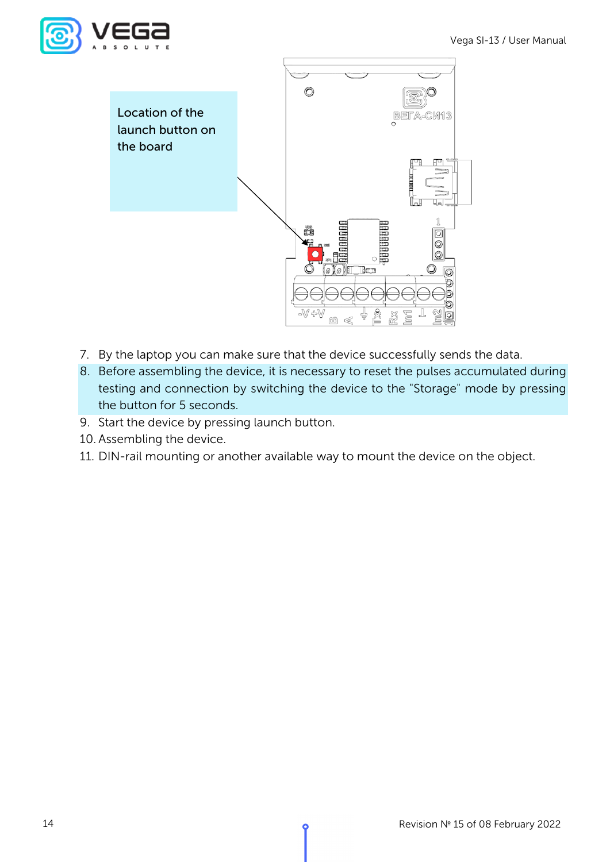



- 7. By the laptop you can make sure that the device successfully sends the data.
- 8. Before assembling the device, it is necessary to reset the pulses accumulated during testing and connection by switching the device to the "Storage" mode by pressing the button for 5 seconds.
- 9. Start the device by pressing launch button.
- 10. Assembling the device.
- 11. DIN-rail mounting or another available way to mount the device on the object.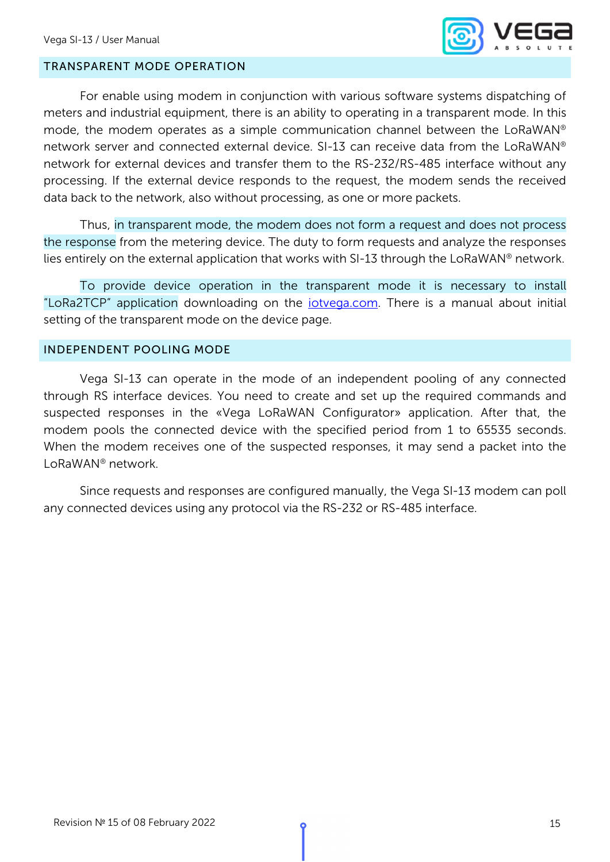

#### <span id="page-16-0"></span>TRANSPARENT MODE OPERATION

For enable using modem in conjunction with various software systems dispatching of meters and industrial equipment, there is an ability to operating in a transparent mode. In this mode, the modem operates as a simple communication channel between the LoRaWAN® network server and connected external device. SI-13 can receive data from the LoRaWAN® network for external devices and transfer them to the RS-232/RS-485 interface without any processing. If the external device responds to the request, the modem sends the received data back to the network, also without processing, as one or more packets.

Thus, in transparent mode, the modem does not form a request and does not process the response from the metering device. The duty to form requests and analyze the responses lies entirely on the external application that works with SI-13 through the LoRaWAN® network.

To provide device operation in the transparent mode it is necessary to install "LoRa2TCP" application downloading on the *iotvega.com*. There is a manual about initial setting of the transparent mode on the device page.

#### <span id="page-16-1"></span>INDEPENDENT POOLING MODE

Vega SI-13 can operate in the mode of an independent pooling of any connected through RS interface devices. You need to create and set up the required commands and suspected responses in the «Vega LoRaWAN Configurator» application. After that, the modem pools the connected device with the specified period from 1 to 65535 seconds. When the modem receives one of the suspected responses, it may send a packet into the LoRaWAN® network.

Since requests and responses are configured manually, the Vega SI-13 modem can poll any connected devices using any protocol via the RS-232 or RS-485 interface.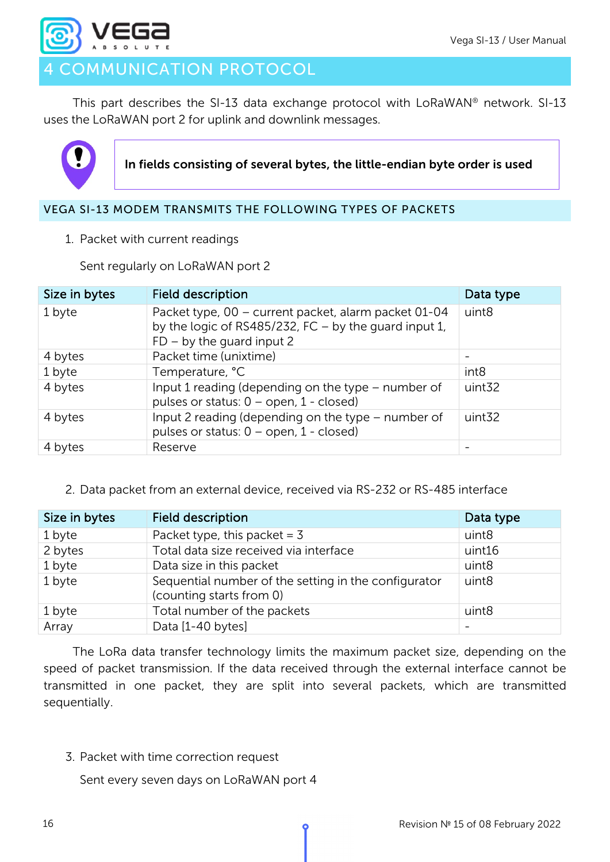

## <span id="page-17-0"></span>COMMUNICATION PROTOCOL

This part describes the SI-13 data exchange protocol with LoRaWAN® network. SI-13 uses the LoRaWAN port 2 for uplink and downlink messages.



In fields consisting of several bytes, the little-endian byte order is used

#### <span id="page-17-2"></span><span id="page-17-1"></span>VEGA SI-13 MODEM TRANSMITS THE FOLLOWING TYPES OF PACKETS

1. Packet with current readings

Sent regularly on LoRaWAN port 2

| Size in bytes | <b>Field description</b>                                                                                                                       | Data type          |
|---------------|------------------------------------------------------------------------------------------------------------------------------------------------|--------------------|
| 1 byte        | Packet type, 00 - current packet, alarm packet 01-04<br>by the logic of RS485/232, FC $-$ by the guard input 1,<br>$FD - by$ the guard input 2 | uint <sub>8</sub>  |
| 4 bytes       | Packet time (unixtime)                                                                                                                         |                    |
| 1 byte        | Temperature, °C                                                                                                                                | int <sub>8</sub>   |
| 4 bytes       | Input 1 reading (depending on the type - number of<br>pulses or status: $0$ – open, $1$ - closed)                                              | uint <sub>32</sub> |
| 4 bytes       | Input 2 reading (depending on the type - number of<br>pulses or status: $0 -$ open, $1 -$ closed)                                              | uint <sub>32</sub> |
| 4 bytes       | Reserve                                                                                                                                        |                    |

#### <span id="page-17-3"></span>2. Data packet from an external device, received via RS-232 or RS-485 interface

| Size in bytes | <b>Field description</b>                                                         | Data type         |
|---------------|----------------------------------------------------------------------------------|-------------------|
| 1 byte        | Packet type, this packet = $3$                                                   | uint8             |
| 2 bytes       | Total data size received via interface                                           | uint16            |
| 1 byte        | Data size in this packet                                                         | uint8             |
| 1 byte        | Sequential number of the setting in the configurator<br>(counting starts from 0) | uint <sub>8</sub> |
| 1 byte        | Total number of the packets                                                      | uint <sub>8</sub> |
| Array         | Data [1-40 bytes]                                                                |                   |

The LoRa data transfer technology limits the maximum packet size, depending on the speed of packet transmission. If the data received through the external interface cannot be transmitted in one packet, they are split into several packets, which are transmitted sequentially.

<span id="page-17-4"></span>3. Packet with time correction request

Sent every seven days on LoRaWAN port 4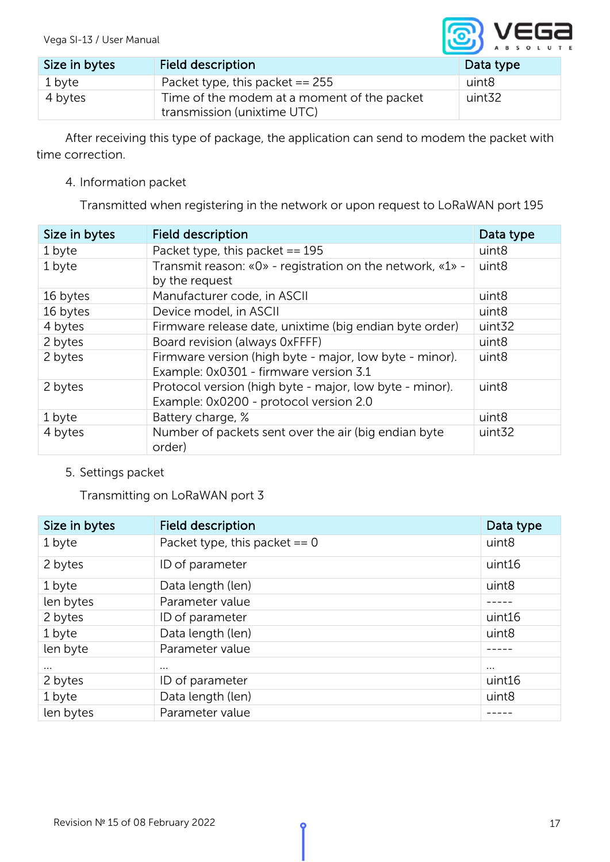

| Size in bytes | Field description                                                          | Data type |
|---------------|----------------------------------------------------------------------------|-----------|
| 1 byte        | Packet type, this packet $== 255$                                          | uint8     |
| 4 bytes       | Time of the modem at a moment of the packet<br>transmission (unixtime UTC) | uint32    |

After receiving this type of package, the application can send to modem the packet with time correction.

<span id="page-18-0"></span>4. Information packet

Transmitted when registering in the network or upon request to LoRaWAN port 195

| Size in bytes | <b>Field description</b>                                                                          | Data type          |
|---------------|---------------------------------------------------------------------------------------------------|--------------------|
| 1 byte        | Packet type, this packet $== 195$                                                                 | uint8              |
| 1 byte        | Transmit reason: $\&0\&0$ - registration on the network, $\&1\&0$ -<br>by the request             | uint <sub>8</sub>  |
| 16 bytes      | Manufacturer code, in ASCII                                                                       | uint8              |
| 16 bytes      | Device model, in ASCII                                                                            | uint <sub>8</sub>  |
| 4 bytes       | Firmware release date, unixtime (big endian byte order)                                           | uint <sub>32</sub> |
| 2 bytes       | Board revision (always 0xFFFF)                                                                    | uint <sub>8</sub>  |
| 2 bytes       | Firmware version (high byte - major, low byte - minor).<br>Example: 0x0301 - firmware version 3.1 | uint <sub>8</sub>  |
| 2 bytes       | Protocol version (high byte - major, low byte - minor).<br>Example: 0x0200 - protocol version 2.0 | uint <sub>8</sub>  |
| 1 byte        | Battery charge, %                                                                                 | uint <sub>8</sub>  |
| 4 bytes       | Number of packets sent over the air (big endian byte<br>order)                                    | uint <sub>32</sub> |

#### <span id="page-18-1"></span>5. Settings packet

Transmitting on LoRaWAN port 3

| Size in bytes | <b>Field description</b>        | Data type         |
|---------------|---------------------------------|-------------------|
| 1 byte        | Packet type, this packet $== 0$ | uint <sub>8</sub> |
| 2 bytes       | ID of parameter                 | uint16            |
| 1 byte        | Data length (len)               | uint8             |
| len bytes     | Parameter value                 |                   |
| 2 bytes       | ID of parameter                 | uint16            |
| 1 byte        | Data length (len)               | uint <sub>8</sub> |
| len byte      | Parameter value                 |                   |
| $\cdots$      | $\cdots$                        | $\cdots$          |
| 2 bytes       | ID of parameter                 | uint16            |
| 1 byte        | Data length (len)               | uint8             |
| len bytes     | Parameter value                 |                   |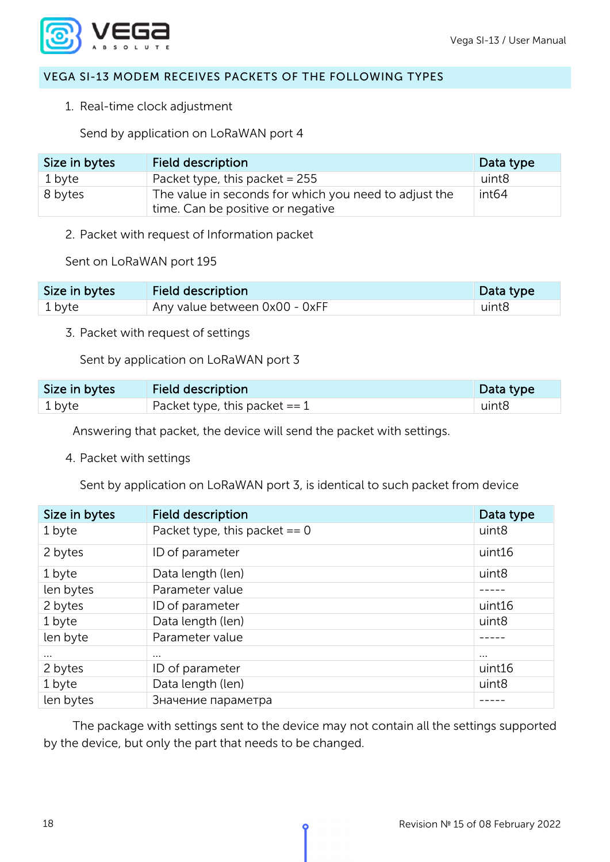

#### <span id="page-19-1"></span><span id="page-19-0"></span>VEGA SI-13 MODEM RECEIVES PACKETS OF THE FOLLOWING TYPES

1. Real-time clock adjustment

Send by application on LoRaWAN port 4

| Size in bytes | Field description                                                                          | Data type         |
|---------------|--------------------------------------------------------------------------------------------|-------------------|
| 1 byte        | Packet type, this packet = $255$                                                           | uint8             |
| 8 bytes       | The value in seconds for which you need to adjust the<br>time. Can be positive or negative | int <sub>64</sub> |

<span id="page-19-2"></span>2. Packet with request of Information packet

Sent on LoRaWAN port 195

| Size in bytes | <b>Field description</b>            | Data type |
|---------------|-------------------------------------|-----------|
| 1 byte        | $\pm$ Any value between 0x00 - 0xFF | uint8     |

<span id="page-19-3"></span>3. Packet with request of settings

Sent by application on LoRaWAN port 3

| Size in bytes | <b>Field description</b>        |       |
|---------------|---------------------------------|-------|
| 1 byte        | Packet type, this packet $== 1$ | uint8 |

Answering that packet, the device will send the packet with settings.

<span id="page-19-4"></span>4. Packet with settings

Sent by application on LoRaWAN port 3, is identical to such packet from device

| Size in bytes                   | <b>Field description</b>        | Data type         |
|---------------------------------|---------------------------------|-------------------|
| 1 byte                          | Packet type, this packet $== 0$ | uint <sub>8</sub> |
| 2 bytes                         | ID of parameter                 | uint16            |
| 1 byte                          | Data length (len)               |                   |
| Parameter value<br>len bytes    |                                 |                   |
| 2 bytes                         | ID of parameter                 |                   |
| 1 byte                          | Data length (len)<br>uint8      |                   |
| len byte                        | Parameter value                 |                   |
| $\cdots$                        | $\cdots$                        | $\cdots$          |
| 2 bytes<br>ID of parameter      |                                 | uint16            |
| 1 byte                          | Data length (len)<br>uint8      |                   |
| len bytes<br>Значение параметра |                                 |                   |

The package with settings sent to the device may not contain all the settings supported by the device, but only the part that needs to be changed.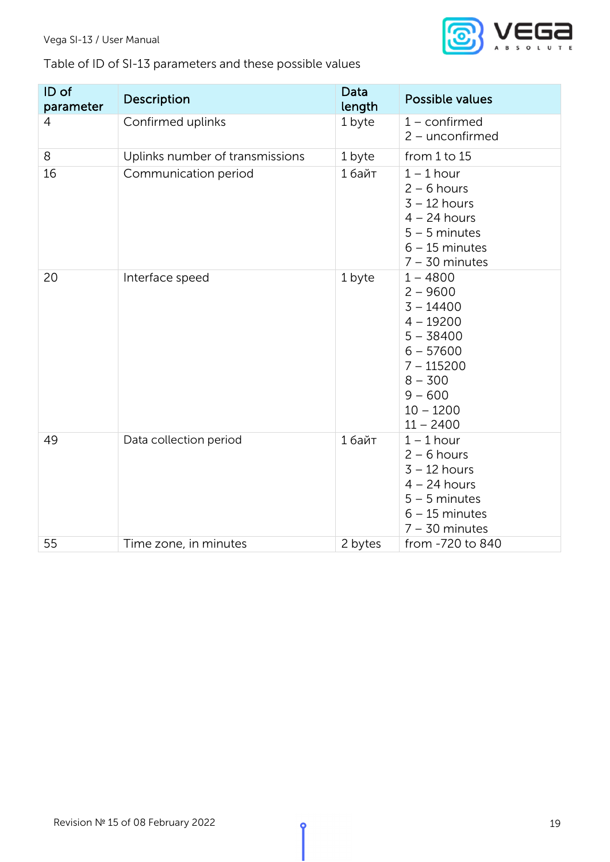### Vega SI-13 / User Manual



## Table of ID of SI-13 parameters and these possible values

| ID of<br>parameter | Description                     | Data<br>length | <b>Possible values</b>                                                                                                                                       |
|--------------------|---------------------------------|----------------|--------------------------------------------------------------------------------------------------------------------------------------------------------------|
| 4                  | Confirmed uplinks               | 1 byte         | $1$ – confirmed<br>$2$ – unconfirmed                                                                                                                         |
| 8                  | Uplinks number of transmissions | 1 byte         | from 1 to 15                                                                                                                                                 |
| 16                 | Communication period            | 1 байт         | $1 - 1$ hour<br>$2 - 6$ hours<br>$3 - 12$ hours<br>$4 - 24$ hours<br>$5 - 5$ minutes<br>$6 - 15$ minutes<br>$7 - 30$ minutes                                 |
| 20                 | Interface speed                 | 1 byte         | $1 - 4800$<br>$2 - 9600$<br>$3 - 14400$<br>$4 - 19200$<br>$5 - 38400$<br>$6 - 57600$<br>$7 - 115200$<br>$8 - 300$<br>$9 - 600$<br>$10 - 1200$<br>$11 - 2400$ |
| 49                 | Data collection period          | 1 байт         | $1 - 1$ hour<br>$2 - 6$ hours<br>$3 - 12$ hours<br>$4 - 24$ hours<br>$5 - 5$ minutes<br>$6 - 15$ minutes<br>$7 - 30$ minutes                                 |
| 55                 | Time zone, in minutes           | 2 bytes        | from -720 to 840                                                                                                                                             |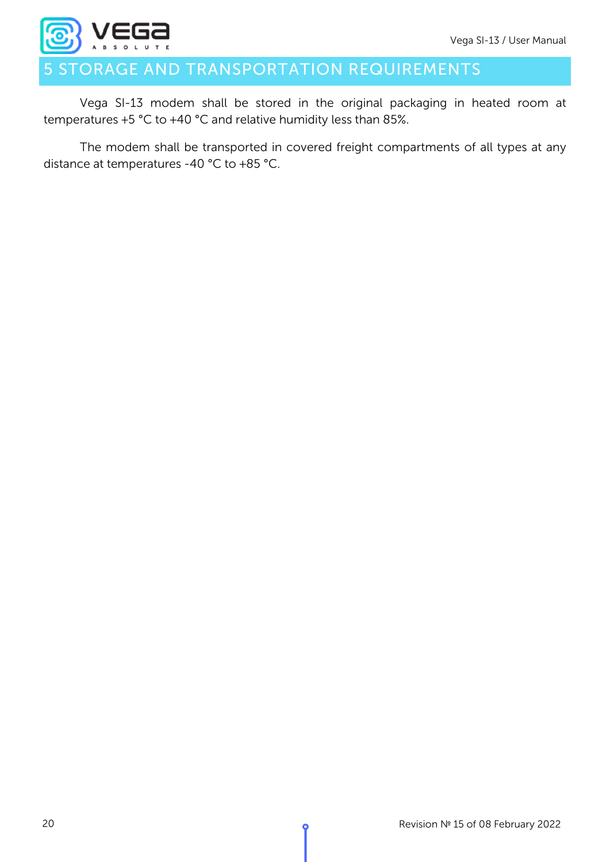

## <span id="page-21-0"></span>STORAGE AND TRANSPORTATION REQUIREMENTS

Vega SI-13 modem shall be stored in the original packaging in heated room at temperatures +5 °С to +40 °С and relative humidity less than 85%.

The modem shall be transported in covered freight compartments of all types at any distance at temperatures -40 °C to +85 °C.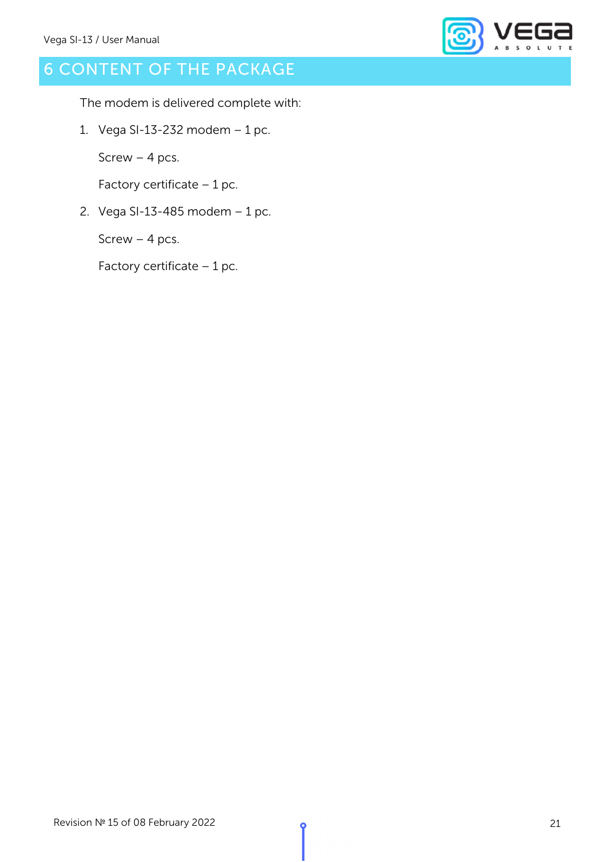

## <span id="page-22-0"></span>6 CONTENT OF THE PACKAGE

The modem is delivered complete with:

1. Vega SI-13-232 modem – 1 pc.

Screw – 4 pcs.

Factory certificate  $-1$  pc.

2. Vega SI-13-485 modem – 1 pc.

Screw – 4 pcs.

Factory certificate – 1 pc.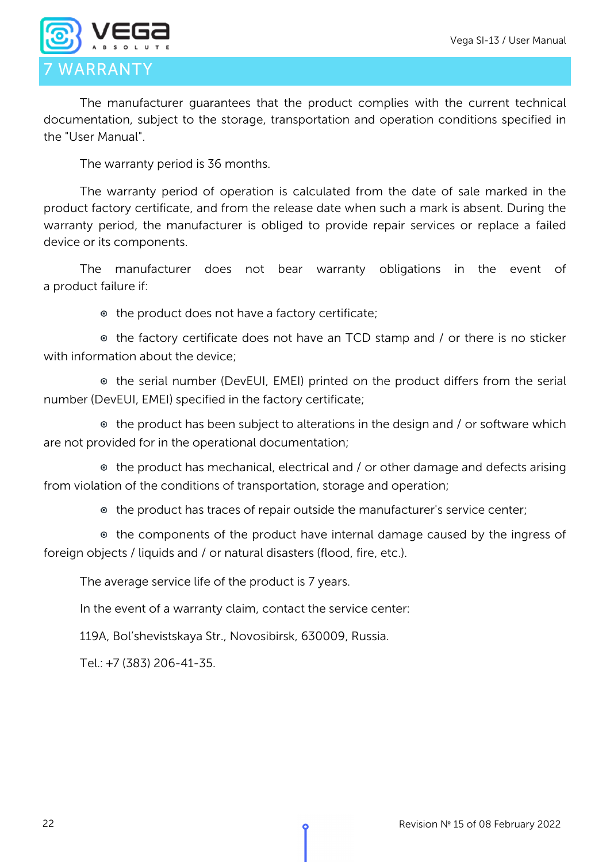

<span id="page-23-0"></span>The manufacturer guarantees that the product complies with the current technical documentation, subject to the storage, transportation and operation conditions specified in the "User Manual".

The warranty period is 36 months.

The warranty period of operation is calculated from the date of sale marked in the product factory certificate, and from the release date when such a mark is absent. During the warranty period, the manufacturer is obliged to provide repair services or replace a failed device or its components.

The manufacturer does not bear warranty obligations in the event of a product failure if:

the product does not have a factory certificate;

the factory certificate does not have an TCD stamp and / or there is no sticker with information about the device;

the serial number (DevEUI, EMEI) printed on the product differs from the serial number (DevEUI, EMEI) specified in the factory certificate;

• the product has been subject to alterations in the design and / or software which are not provided for in the operational documentation;

the product has mechanical, electrical and / or other damage and defects arising from violation of the conditions of transportation, storage and operation;

the product has traces of repair outside the manufacturer's service center;

• the components of the product have internal damage caused by the ingress of foreign objects / liquids and / or natural disasters (flood, fire, etc.).

The average service life of the product is 7 years.

In the event of a warranty claim, contact the service center:

119A, Bol'shevistskaya Str., Novosibirsk, 630009, Russia.

Tel.: +7 (383) 206-41-35.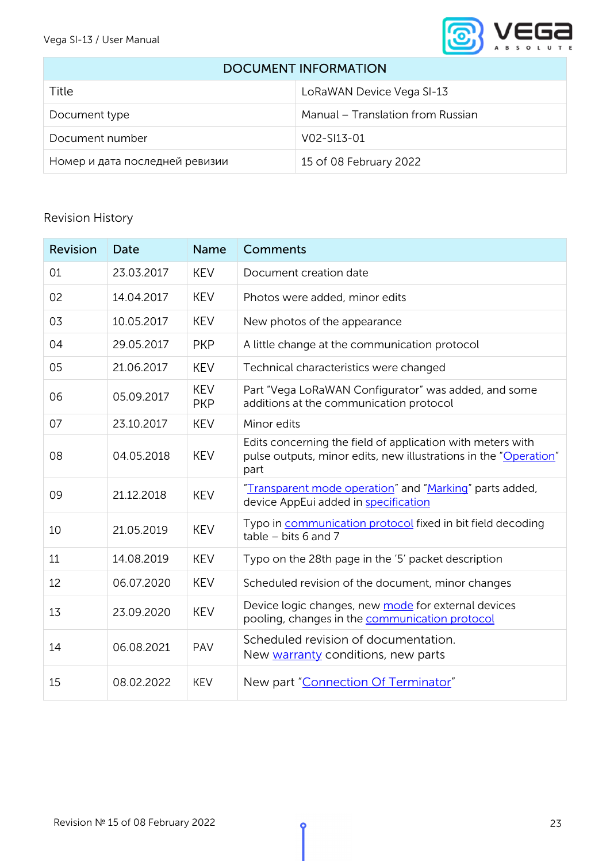

#### <span id="page-24-0"></span>DOCUMENT INFORMATION

| Title                          | LoRaWAN Device Vega SI-13         |
|--------------------------------|-----------------------------------|
| Document type                  | Manual – Translation from Russian |
| Document number                | $V_0$ $2 - S_1$ $13 - 01$         |
| Номер и дата последней ревизии | 15 of 08 February 2022            |

### Revision History

| Revision | Date       | <b>Name</b>              | <b>Comments</b>                                                                                                                        |
|----------|------------|--------------------------|----------------------------------------------------------------------------------------------------------------------------------------|
| 01       | 23.03.2017 | <b>KEV</b>               | Document creation date                                                                                                                 |
| 02       | 14.04.2017 | <b>KEV</b>               | Photos were added, minor edits                                                                                                         |
| 03       | 10.05.2017 | <b>KEV</b>               | New photos of the appearance                                                                                                           |
| 04       | 29.05.2017 | <b>PKP</b>               | A little change at the communication protocol                                                                                          |
| 05       | 21.06.2017 | <b>KEV</b>               | Technical characteristics were changed                                                                                                 |
| 06       | 05.09.2017 | <b>KEV</b><br><b>PKP</b> | Part "Vega LoRaWAN Configurator" was added, and some<br>additions at the communication protocol                                        |
| 07       | 23.10.2017 | <b>KEV</b>               | Minor edits                                                                                                                            |
| 08       | 04.05.2018 | <b>KEV</b>               | Edits concerning the field of application with meters with<br>pulse outputs, minor edits, new illustrations in the "Operation"<br>part |
| 09       | 21.12.2018 | <b>KEV</b>               | "Transparent mode operation" and "Marking" parts added,<br>device AppEui added in specification                                        |
| 10       | 21.05.2019 | <b>KEV</b>               | Typo in communication protocol fixed in bit field decoding<br>table $-$ bits 6 and 7                                                   |
| 11       | 14.08.2019 | <b>KEV</b>               | Typo on the 28th page in the '5' packet description                                                                                    |
| 12       | 06.07.2020 | <b>KEV</b>               | Scheduled revision of the document, minor changes                                                                                      |
| 13       | 23.09.2020 | <b>KEV</b>               | Device logic changes, new mode for external devices<br>pooling, changes in the communication protocol                                  |
| 14       | 06.08.2021 | PAV                      | Scheduled revision of documentation.<br>New warranty conditions, new parts                                                             |
| 15       | 08.02.2022 | <b>KEV</b>               | New part "Connection Of Terminator"                                                                                                    |